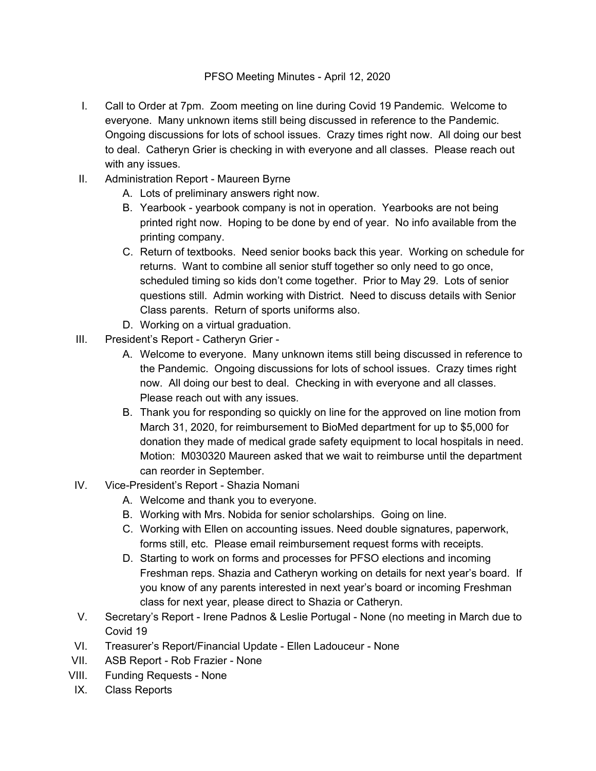- I. Call to Order at 7pm. Zoom meeting on line during Covid 19 Pandemic. Welcome to everyone. Many unknown items still being discussed in reference to the Pandemic. Ongoing discussions for lots of school issues. Crazy times right now. All doing our best to deal. Catheryn Grier is checking in with everyone and all classes. Please reach out with any issues.
- II. Administration Report Maureen Byrne
	- A. Lots of preliminary answers right now.
	- B. Yearbook yearbook company is not in operation. Yearbooks are not being printed right now. Hoping to be done by end of year. No info available from the printing company.
	- C. Return of textbooks. Need senior books back this year. Working on schedule for returns. Want to combine all senior stuff together so only need to go once, scheduled timing so kids don't come together. Prior to May 29. Lots of senior questions still. Admin working with District. Need to discuss details with Senior Class parents. Return of sports uniforms also.
	- D. Working on a virtual graduation.
- III. President's Report Catheryn Grier
	- A. Welcome to everyone. Many unknown items still being discussed in reference to the Pandemic. Ongoing discussions for lots of school issues. Crazy times right now. All doing our best to deal. Checking in with everyone and all classes. Please reach out with any issues.
	- B. Thank you for responding so quickly on line for the approved on line motion from March 31, 2020, for reimbursement to BioMed department for up to \$5,000 for donation they made of medical grade safety equipment to local hospitals in need. Motion: M030320 Maureen asked that we wait to reimburse until the department can reorder in September.
- IV. Vice-President's Report Shazia Nomani
	- A. Welcome and thank you to everyone.
	- B. Working with Mrs. Nobida for senior scholarships. Going on line.
	- C. Working with Ellen on accounting issues. Need double signatures, paperwork, forms still, etc. Please email reimbursement request forms with receipts.
	- D. Starting to work on forms and processes for PFSO elections and incoming Freshman reps. Shazia and Catheryn working on details for next year's board. If you know of any parents interested in next year's board or incoming Freshman class for next year, please direct to Shazia or Catheryn.
- V. Secretary's Report Irene Padnos & Leslie Portugal None (no meeting in March due to Covid 19
- VI. Treasurer's Report/Financial Update Ellen Ladouceur None
- VII. ASB Report Rob Frazier None
- VIII. Funding Requests None
- IX. Class Reports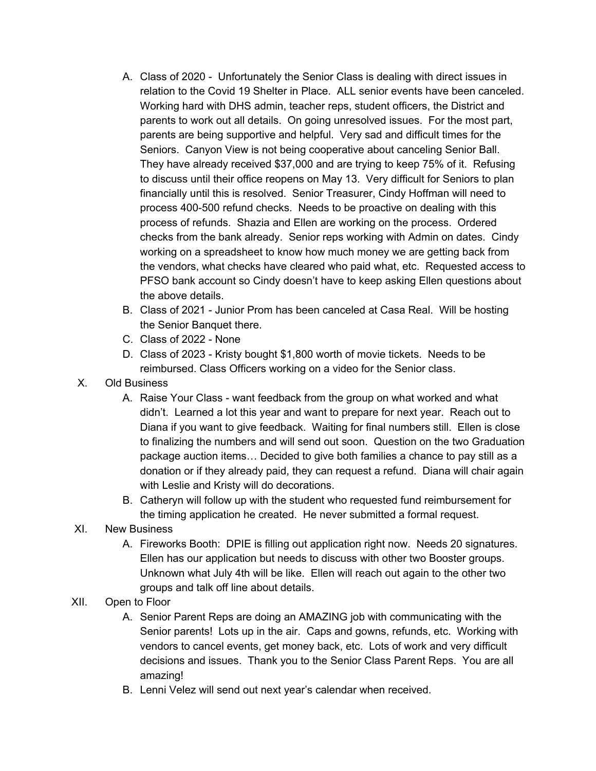- A. Class of 2020 Unfortunately the Senior Class is dealing with direct issues in relation to the Covid 19 Shelter in Place. ALL senior events have been canceled. Working hard with DHS admin, teacher reps, student officers, the District and parents to work out all details. On going unresolved issues. For the most part, parents are being supportive and helpful. Very sad and difficult times for the Seniors. Canyon View is not being cooperative about canceling Senior Ball. They have already received \$37,000 and are trying to keep 75% of it. Refusing to discuss until their office reopens on May 13. Very difficult for Seniors to plan financially until this is resolved. Senior Treasurer, Cindy Hoffman will need to process 400-500 refund checks. Needs to be proactive on dealing with this process of refunds. Shazia and Ellen are working on the process. Ordered checks from the bank already. Senior reps working with Admin on dates. Cindy working on a spreadsheet to know how much money we are getting back from the vendors, what checks have cleared who paid what, etc. Requested access to PFSO bank account so Cindy doesn't have to keep asking Ellen questions about the above details.
- B. Class of 2021 Junior Prom has been canceled at Casa Real. Will be hosting the Senior Banquet there.
- C. Class of 2022 None
- D. Class of 2023 Kristy bought \$1,800 worth of movie tickets. Needs to be reimbursed. Class Officers working on a video for the Senior class.
- X. Old Business
	- A. Raise Your Class want feedback from the group on what worked and what didn't. Learned a lot this year and want to prepare for next year. Reach out to Diana if you want to give feedback. Waiting for final numbers still. Ellen is close to finalizing the numbers and will send out soon. Question on the two Graduation package auction items… Decided to give both families a chance to pay still as a donation or if they already paid, they can request a refund. Diana will chair again with Leslie and Kristy will do decorations.
	- B. Catheryn will follow up with the student who requested fund reimbursement for the timing application he created. He never submitted a formal request.
- XI. New Business
	- A. Fireworks Booth: DPIE is filling out application right now. Needs 20 signatures. Ellen has our application but needs to discuss with other two Booster groups. Unknown what July 4th will be like. Ellen will reach out again to the other two groups and talk off line about details.
- XII. Open to Floor
	- A. Senior Parent Reps are doing an AMAZING job with communicating with the Senior parents! Lots up in the air. Caps and gowns, refunds, etc. Working with vendors to cancel events, get money back, etc. Lots of work and very difficult decisions and issues. Thank you to the Senior Class Parent Reps. You are all amazing!
	- B. Lenni Velez will send out next year's calendar when received.